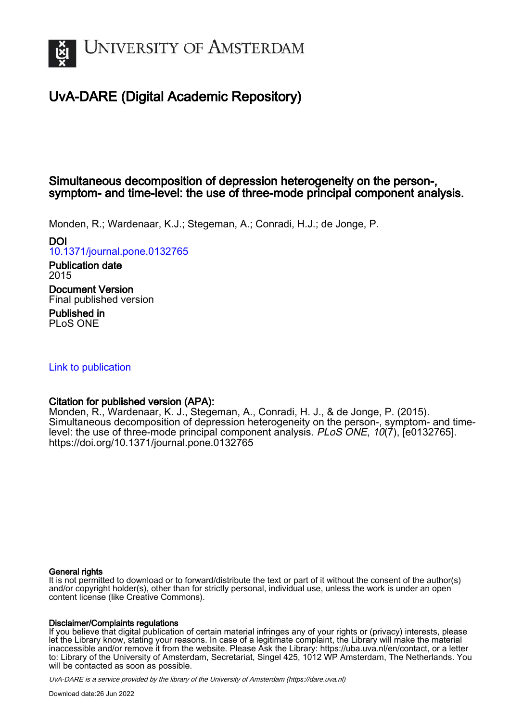

## UvA-DARE (Digital Academic Repository)

## Simultaneous decomposition of depression heterogeneity on the person-, symptom- and time-level: the use of three-mode principal component analysis.

Monden, R.; Wardenaar, K.J.; Stegeman, A.; Conradi, H.J.; de Jonge, P.

DOI

[10.1371/journal.pone.0132765](https://doi.org/10.1371/journal.pone.0132765)

Publication date 2015 Document Version Final published version

Published in PLoS ONE

## [Link to publication](https://dare.uva.nl/personal/pure/en/publications/simultaneous-decomposition-of-depression-heterogeneity-on-the-person-symptom-and-timelevel-the-use-of-threemode-principal-component-analysis(91c252b4-64dd-49f2-928b-a2df5cbbf263).html)

## Citation for published version (APA):

Monden, R., Wardenaar, K. J., Stegeman, A., Conradi, H. J., & de Jonge, P. (2015). Simultaneous decomposition of depression heterogeneity on the person-, symptom- and timelevel: the use of three-mode principal component analysis. PLoS ONE, 10(7), [e0132765]. <https://doi.org/10.1371/journal.pone.0132765>

## General rights

It is not permitted to download or to forward/distribute the text or part of it without the consent of the author(s) and/or copyright holder(s), other than for strictly personal, individual use, unless the work is under an open content license (like Creative Commons).

## Disclaimer/Complaints regulations

If you believe that digital publication of certain material infringes any of your rights or (privacy) interests, please let the Library know, stating your reasons. In case of a legitimate complaint, the Library will make the material inaccessible and/or remove it from the website. Please Ask the Library: https://uba.uva.nl/en/contact, or a letter to: Library of the University of Amsterdam, Secretariat, Singel 425, 1012 WP Amsterdam, The Netherlands. You will be contacted as soon as possible.

UvA-DARE is a service provided by the library of the University of Amsterdam (http*s*://dare.uva.nl)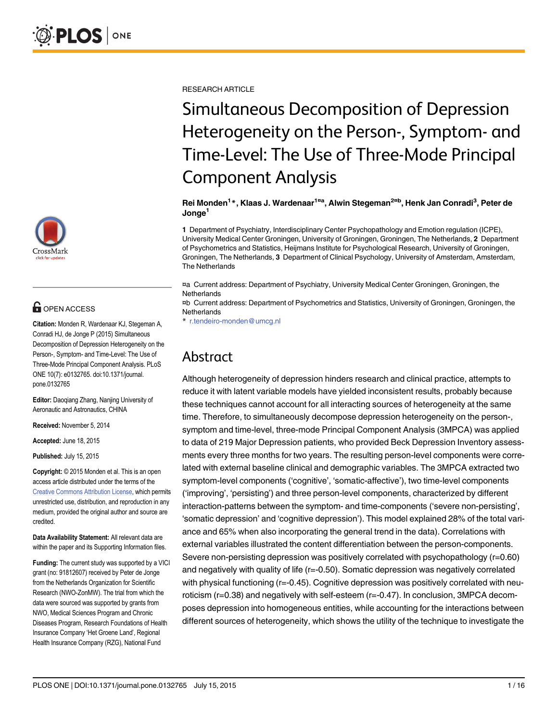

## **G** OPEN ACCESS

Citation: Monden R, Wardenaar KJ, Stegeman A, Conradi HJ, de Jonge P (2015) Simultaneous Decomposition of Depression Heterogeneity on the Person-, Symptom- and Time-Level: The Use of Three-Mode Principal Component Analysis. PLoS ONE 10(7): e0132765. doi:10.1371/journal. pone.0132765

Editor: Daoqiang Zhang, Nanjing University of Aeronautic and Astronautics, CHINA

Received: November 5, 2014

Accepted: June 18, 2015

Published: July 15, 2015

Copyright: © 2015 Monden et al. This is an open access article distributed under the terms of the [Creative Commons Attribution License,](http://creativecommons.org/licenses/by/4.0/) which permits unrestricted use, distribution, and reproduction in any medium, provided the original author and source are credited.

Data Availability Statement: All relevant data are within the paper and its Supporting Information files.

Funding: The current study was supported by a VICI grant (no: 91812607) received by Peter de Jonge from the Netherlands Organization for Scientific Research (NWO-ZonMW). The trial from which the data were sourced was supported by grants from NWO, Medical Sciences Program and Chronic Diseases Program, Research Foundations of Health Insurance Company 'Het Groene Land', Regional Health Insurance Company (RZG), National Fund

RESEARCH ARTICLE

# Simultaneous Decomposition of Depression Heterogeneity on the Person-, Symptom- and Time-Level: The Use of Three-Mode Principal Component Analysis

Rei Monden<sup>1</sup>\*, Klaas J. Wardenaar<sup>1¤a</sup>, Alwin Stegeman<sup>2¤b</sup>, Henk Jan Conradi<sup>3</sup>, Peter de Jonge<sup>1</sup>

1 Department of Psychiatry, Interdisciplinary Center Psychopathology and Emotion regulation (ICPE), University Medical Center Groningen, University of Groningen, Groningen, The Netherlands, 2 Department of Psychometrics and Statistics, Heijmans Institute for Psychological Research, University of Groningen, Groningen, The Netherlands, 3 Department of Clinical Psychology, University of Amsterdam, Amsterdam, The Netherlands

¤a Current address: Department of Psychiatry, University Medical Center Groningen, Groningen, the **Netherlands** 

¤b Current address: Department of Psychometrics and Statistics, University of Groningen, Groningen, the **Netherlands** 

\* r.tendeiro-monden@umcg.nl

## Abstract

Although heterogeneity of depression hinders research and clinical practice, attempts to reduce it with latent variable models have yielded inconsistent results, probably because these techniques cannot account for all interacting sources of heterogeneity at the same time. Therefore, to simultaneously decompose depression heterogeneity on the person-, symptom and time-level, three-mode Principal Component Analysis (3MPCA) was applied to data of 219 Major Depression patients, who provided Beck Depression Inventory assessments every three months for two years. The resulting person-level components were correlated with external baseline clinical and demographic variables. The 3MPCA extracted two symptom-level components ('cognitive', 'somatic-affective'), two time-level components ('improving', 'persisting') and three person-level components, characterized by different interaction-patterns between the symptom- and time-components ('severe non-persisting', 'somatic depression' and 'cognitive depression'). This model explained 28% of the total variance and 65% when also incorporating the general trend in the data). Correlations with external variables illustrated the content differentiation between the person-components. Severe non-persisting depression was positively correlated with psychopathology (r=0.60) and negatively with quality of life (r=-0.50). Somatic depression was negatively correlated with physical functioning (r=-0.45). Cognitive depression was positively correlated with neuroticism (r=0.38) and negatively with self-esteem (r=-0.47). In conclusion, 3MPCA decomposes depression into homogeneous entities, while accounting for the interactions between different sources of heterogeneity, which shows the utility of the technique to investigate the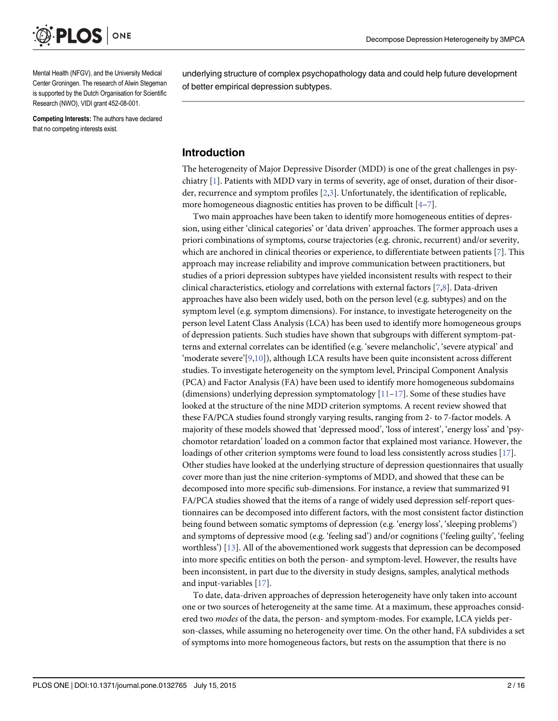<span id="page-2-0"></span>

Mental Health (NFGV), and the University Medical Center Groningen. The research of Alwin Stegeman is supported by the Dutch Organisation for Scientific Research (NWO), VIDI grant 452-08-001.

Competing Interests: The authors have declared that no competing interests exist.

underlying structure of complex psychopathology data and could help future development of better empirical depression subtypes.

## Introduction

The heterogeneity of Major Depressive Disorder (MDD) is one of the great challenges in psychiatry  $[1]$  $[1]$ . Patients with MDD vary in terms of severity, age of onset, duration of their disorder, recurrence and symptom profiles [[2](#page-13-0),[3](#page-14-0)]. Unfortunately, the identification of replicable, more homogeneous diagnostic entities has proven to be difficult  $[4-7]$  $[4-7]$  $[4-7]$  $[4-7]$ .

Two main approaches have been taken to identify more homogeneous entities of depression, using either 'clinical categories' or 'data driven' approaches. The former approach uses a priori combinations of symptoms, course trajectories (e.g. chronic, recurrent) and/or severity, which are anchored in clinical theories or experience, to differentiate between patients [\[7](#page-14-0)]. This approach may increase reliability and improve communication between practitioners, but studies of a priori depression subtypes have yielded inconsistent results with respect to their clinical characteristics, etiology and correlations with external factors [\[7,8](#page-14-0)]. Data-driven approaches have also been widely used, both on the person level (e.g. subtypes) and on the symptom level (e.g. symptom dimensions). For instance, to investigate heterogeneity on the person level Latent Class Analysis (LCA) has been used to identify more homogeneous groups of depression patients. Such studies have shown that subgroups with different symptom-patterns and external correlates can be identified (e.g. 'severe melancholic', 'severe atypical' and 'moderate severe'[\[9,10\]](#page-14-0)), although LCA results have been quite inconsistent across different studies. To investigate heterogeneity on the symptom level, Principal Component Analysis (PCA) and Factor Analysis (FA) have been used to identify more homogeneous subdomains (dimensions) underlying depression symptomatology  $[11-17]$  $[11-17]$  $[11-17]$  $[11-17]$  $[11-17]$ . Some of these studies have looked at the structure of the nine MDD criterion symptoms. A recent review showed that these FA/PCA studies found strongly varying results, ranging from 2- to 7-factor models. A majority of these models showed that 'depressed mood', 'loss of interest', 'energy loss' and 'psychomotor retardation' loaded on a common factor that explained most variance. However, the loadings of other criterion symptoms were found to load less consistently across studies [\[17\]](#page-14-0). Other studies have looked at the underlying structure of depression questionnaires that usually cover more than just the nine criterion-symptoms of MDD, and showed that these can be decomposed into more specific sub-dimensions. For instance, a review that summarized 91 FA/PCA studies showed that the items of a range of widely used depression self-report questionnaires can be decomposed into different factors, with the most consistent factor distinction being found between somatic symptoms of depression (e.g. 'energy loss', 'sleeping problems') and symptoms of depressive mood (e.g. 'feeling sad') and/or cognitions ('feeling guilty', 'feeling worthless') [\[13\]](#page-14-0). All of the abovementioned work suggests that depression can be decomposed into more specific entities on both the person- and symptom-level. However, the results have been inconsistent, in part due to the diversity in study designs, samples, analytical methods and input-variables [[17](#page-14-0)].

To date, data-driven approaches of depression heterogeneity have only taken into account one or two sources of heterogeneity at the same time. At a maximum, these approaches considered two *modes* of the data, the person- and symptom-modes. For example, LCA yields person-classes, while assuming no heterogeneity over time. On the other hand, FA subdivides a set of symptoms into more homogeneous factors, but rests on the assumption that there is no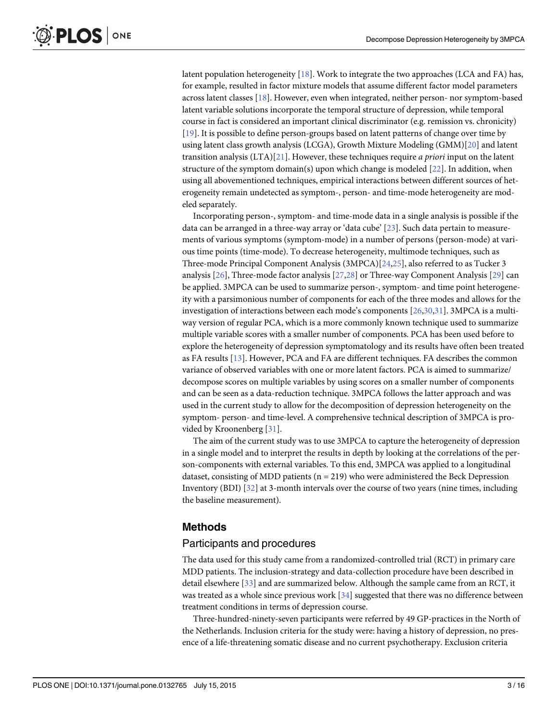<span id="page-3-0"></span>latent population heterogeneity [\[18\]](#page-14-0). Work to integrate the two approaches (LCA and FA) has, for example, resulted in factor mixture models that assume different factor model parameters across latent classes [\[18\]](#page-14-0). However, even when integrated, neither person- nor symptom-based latent variable solutions incorporate the temporal structure of depression, while temporal course in fact is considered an important clinical discriminator (e.g. remission vs. chronicity) [\[19](#page-14-0)]. It is possible to define person-groups based on latent patterns of change over time by using latent class growth analysis (LCGA), Growth Mixture Modeling (GMM)[\[20\]](#page-14-0) and latent transition analysis  $(LTA)[21]$  $(LTA)[21]$ . However, these techniques require *a priori* input on the latent structure of the symptom domain(s) upon which change is modeled  $[22]$  $[22]$ . In addition, when using all abovementioned techniques, empirical interactions between different sources of heterogeneity remain undetected as symptom-, person- and time-mode heterogeneity are modeled separately.

Incorporating person-, symptom- and time-mode data in a single analysis is possible if the data can be arranged in a three-way array or 'data cube' [[23](#page-14-0)]. Such data pertain to measurements of various symptoms (symptom-mode) in a number of persons (person-mode) at various time points (time-mode). To decrease heterogeneity, multimode techniques, such as Three-mode Principal Component Analysis (3MPCA)[\[24,25\]](#page-14-0), also referred to as Tucker 3 analysis  $[26]$  $[26]$  $[26]$ , Three-mode factor analysis  $[27,28]$  $[27,28]$  $[27,28]$  or Three-way Component Analysis  $[29]$  $[29]$  can be applied. 3MPCA can be used to summarize person-, symptom- and time point heterogeneity with a parsimonious number of components for each of the three modes and allows for the investigation of interactions between each mode's components  $[26,30,31]$  $[26,30,31]$  $[26,30,31]$ . 3MPCA is a multiway version of regular PCA, which is a more commonly known technique used to summarize multiple variable scores with a smaller number of components. PCA has been used before to explore the heterogeneity of depression symptomatology and its results have often been treated as FA results [[13\]](#page-14-0). However, PCA and FA are different techniques. FA describes the common variance of observed variables with one or more latent factors. PCA is aimed to summarize/ decompose scores on multiple variables by using scores on a smaller number of components and can be seen as a data-reduction technique. 3MPCA follows the latter approach and was used in the current study to allow for the decomposition of depression heterogeneity on the symptom- person- and time-level. A comprehensive technical description of 3MPCA is provided by Kroonenberg [\[31\]](#page-15-0).

The aim of the current study was to use 3MPCA to capture the heterogeneity of depression in a single model and to interpret the results in depth by looking at the correlations of the person-components with external variables. To this end, 3MPCA was applied to a longitudinal dataset, consisting of MDD patients ( $n = 219$ ) who were administered the Beck Depression Inventory (BDI) [\[32](#page-15-0)] at 3-month intervals over the course of two years (nine times, including the baseline measurement).

## Methods

## Participants and procedures

The data used for this study came from a randomized-controlled trial (RCT) in primary care MDD patients. The inclusion-strategy and data-collection procedure have been described in detail elsewhere [\[33\]](#page-15-0) and are summarized below. Although the sample came from an RCT, it was treated as a whole since previous work  $[34]$  suggested that there was no difference between treatment conditions in terms of depression course.

Three-hundred-ninety-seven participants were referred by 49 GP-practices in the North of the Netherlands. Inclusion criteria for the study were: having a history of depression, no presence of a life-threatening somatic disease and no current psychotherapy. Exclusion criteria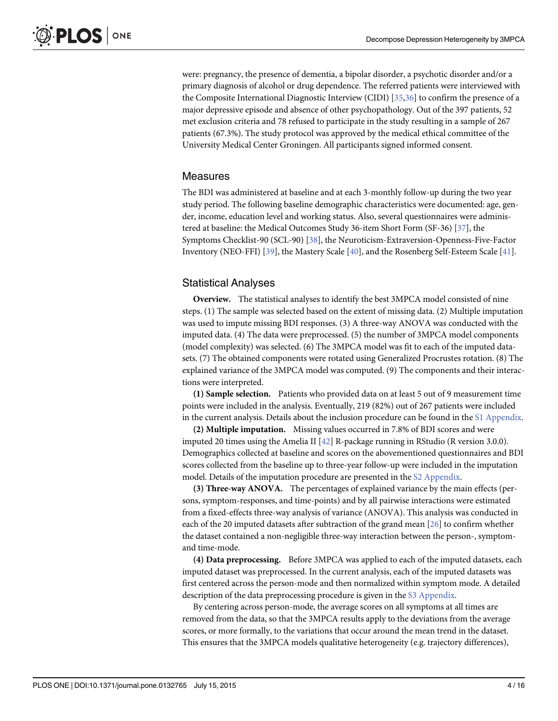<span id="page-4-0"></span>were: pregnancy, the presence of dementia, a bipolar disorder, a psychotic disorder and/or a primary diagnosis of alcohol or drug dependence. The referred patients were interviewed with the Composite International Diagnostic Interview (CIDI) [[35](#page-15-0),[36](#page-15-0)] to confirm the presence of a major depressive episode and absence of other psychopathology. Out of the 397 patients, 52 met exclusion criteria and 78 refused to participate in the study resulting in a sample of 267 patients (67.3%). The study protocol was approved by the medical ethical committee of the University Medical Center Groningen. All participants signed informed consent.

## Measures

The BDI was administered at baseline and at each 3-monthly follow-up during the two year study period. The following baseline demographic characteristics were documented: age, gender, income, education level and working status. Also, several questionnaires were administered at baseline: the Medical Outcomes Study 36-item Short Form (SF-36) [[37\]](#page-15-0), the Symptoms Checklist-90 (SCL-90) [\[38\]](#page-15-0), the Neuroticism-Extraversion-Openness-Five-Factor Inventory (NEO-FFI) [[39](#page-15-0)], the Mastery Scale [[40](#page-15-0)], and the Rosenberg Self-Esteem Scale [[41](#page-15-0)].

## Statistical Analyses

Overview. The statistical analyses to identify the best 3MPCA model consisted of nine steps. (1) The sample was selected based on the extent of missing data. (2) Multiple imputation was used to impute missing BDI responses. (3) A three-way ANOVA was conducted with the imputed data. (4) The data were preprocessed. (5) the number of 3MPCA model components (model complexity) was selected. (6) The 3MPCA model was fit to each of the imputed datasets. (7) The obtained components were rotated using Generalized Procrustes rotation. (8) The explained variance of the 3MPCA model was computed. (9) The components and their interactions were interpreted.

(1) Sample selection. Patients who provided data on at least 5 out of 9 measurement time points were included in the analysis. Eventually, 219 (82%) out of 267 patients were included in the current analysis. Details about the inclusion procedure can be found in the [S1 Appendix](#page-13-0).

(2) Multiple imputation. Missing values occurred in 7.8% of BDI scores and were imputed 20 times using the Amelia II  $[42]$  $[42]$  $[42]$  R-package running in RStudio (R version 3.0.0). Demographics collected at baseline and scores on the abovementioned questionnaires and BDI scores collected from the baseline up to three-year follow-up were included in the imputation model. Details of the imputation procedure are presented in the [S2 Appendix.](#page-13-0)

(3) Three-way ANOVA. The percentages of explained variance by the main effects (persons, symptom-responses, and time-points) and by all pairwise interactions were estimated from a fixed-effects three-way analysis of variance (ANOVA). This analysis was conducted in each of the 20 imputed datasets after subtraction of the grand mean [\[26\]](#page-14-0) to confirm whether the dataset contained a non-negligible three-way interaction between the person-, symptomand time-mode.

(4) Data preprocessing. Before 3MPCA was applied to each of the imputed datasets, each imputed dataset was preprocessed. In the current analysis, each of the imputed datasets was first centered across the person-mode and then normalized within symptom mode. A detailed description of the data preprocessing procedure is given in the [S3 Appendix](#page-13-0).

By centering across person-mode, the average scores on all symptoms at all times are removed from the data, so that the 3MPCA results apply to the deviations from the average scores, or more formally, to the variations that occur around the mean trend in the dataset. This ensures that the 3MPCA models qualitative heterogeneity (e.g. trajectory differences),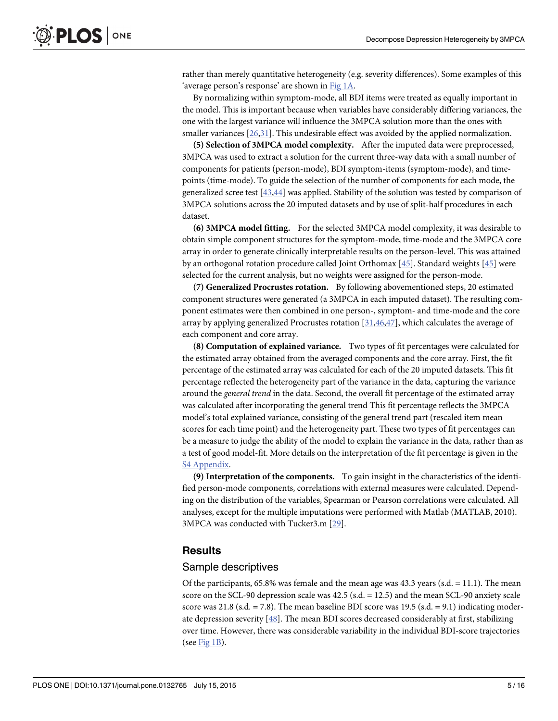<span id="page-5-0"></span>rather than merely quantitative heterogeneity (e.g. severity differences). Some examples of this 'average person's response' are shown in [Fig 1A](#page-6-0).

By normalizing within symptom-mode, all BDI items were treated as equally important in the model. This is important because when variables have considerably differing variances, the one with the largest variance will influence the 3MPCA solution more than the ones with smaller variances  $[26,31]$  $[26,31]$  $[26,31]$  $[26,31]$  $[26,31]$ . This undesirable effect was avoided by the applied normalization.

(5) Selection of 3MPCA model complexity. After the imputed data were preprocessed, 3MPCA was used to extract a solution for the current three-way data with a small number of components for patients (person-mode), BDI symptom-items (symptom-mode), and timepoints (time-mode). To guide the selection of the number of components for each mode, the generalized scree test [[43](#page-15-0),[44](#page-15-0)] was applied. Stability of the solution was tested by comparison of 3MPCA solutions across the 20 imputed datasets and by use of split-half procedures in each dataset.

(6) 3MPCA model fitting. For the selected 3MPCA model complexity, it was desirable to obtain simple component structures for the symptom-mode, time-mode and the 3MPCA core array in order to generate clinically interpretable results on the person-level. This was attained by an orthogonal rotation procedure called Joint Orthomax [[45](#page-15-0)]. Standard weights [\[45\]](#page-15-0) were selected for the current analysis, but no weights were assigned for the person-mode.

(7) Generalized Procrustes rotation. By following abovementioned steps, 20 estimated component structures were generated (a 3MPCA in each imputed dataset). The resulting component estimates were then combined in one person-, symptom- and time-mode and the core array by applying generalized Procrustes rotation [\[31,46,47\]](#page-15-0), which calculates the average of each component and core array.

(8) Computation of explained variance. Two types of fit percentages were calculated for the estimated array obtained from the averaged components and the core array. First, the fit percentage of the estimated array was calculated for each of the 20 imputed datasets. This fit percentage reflected the heterogeneity part of the variance in the data, capturing the variance around the general trend in the data. Second, the overall fit percentage of the estimated array was calculated after incorporating the general trend This fit percentage reflects the 3MPCA model's total explained variance, consisting of the general trend part (rescaled item mean scores for each time point) and the heterogeneity part. These two types of fit percentages can be a measure to judge the ability of the model to explain the variance in the data, rather than as a test of good model-fit. More details on the interpretation of the fit percentage is given in the [S4 Appendix](#page-13-0).

(9) Interpretation of the components. To gain insight in the characteristics of the identified person-mode components, correlations with external measures were calculated. Depending on the distribution of the variables, Spearman or Pearson correlations were calculated. All analyses, except for the multiple imputations were performed with Matlab (MATLAB, 2010). 3MPCA was conducted with Tucker3.m [[29](#page-15-0)].

## **Results**

## Sample descriptives

Of the participants,  $65.8\%$  was female and the mean age was  $43.3$  years (s.d. = 11.1). The mean score on the SCL-90 depression scale was  $42.5$  (s.d.  $= 12.5$ ) and the mean SCL-90 anxiety scale score was 21.8 (s.d.  $= 7.8$ ). The mean baseline BDI score was 19.5 (s.d.  $= 9.1$ ) indicating moderate depression severity [[48](#page-15-0)]. The mean BDI scores decreased considerably at first, stabilizing over time. However, there was considerable variability in the individual BDI-score trajectories (see  $Fig 1B$ ).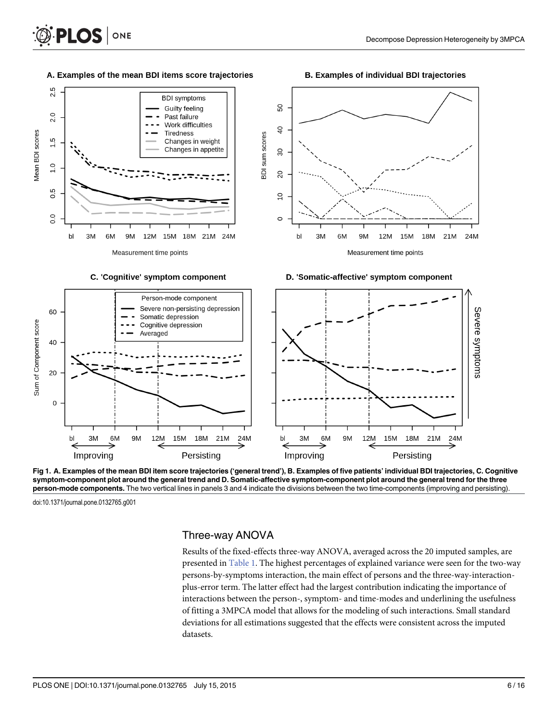#### A. Examples of the mean BDI items score trajectories

ONE

<span id="page-6-0"></span>**PLOS** I

#### **B. Examples of individual BDI trajectories**



[Fig 1. A](#page-5-0). Examples of the mean BDI item score trajectories ('general trend'), B. Examples of five patients' individual BDI trajectories, C. Cognitive symptom-component plot around the general trend and D. Somatic-affective symptom-component plot around the general trend for the three person-mode components. The two vertical lines in panels 3 and 4 indicate the divisions between the two time-components (improving and persisting).

bl

3M

Improving

doi:10.1371/journal.pone.0132765.g001

3M

Improving

6M

bl

9M

12M

 $\mathsf{O}\xspace$ 

## Three-way ANOVA

21M

24M

18M

Persisting

**15M** 

Results of the fixed-effects three-way ANOVA, averaged across the 20 imputed samples, are presented in [Table 1](#page-7-0). The highest percentages of explained variance were seen for the two-way persons-by-symptoms interaction, the main effect of persons and the three-way-interactionplus-error term. The latter effect had the largest contribution indicating the importance of interactions between the person-, symptom- and time-modes and underlining the usefulness of fitting a 3MPCA model that allows for the modeling of such interactions. Small standard deviations for all estimations suggested that the effects were consistent across the imputed datasets.

9M

12M

6M

15M

18M

Persisting

21M

24M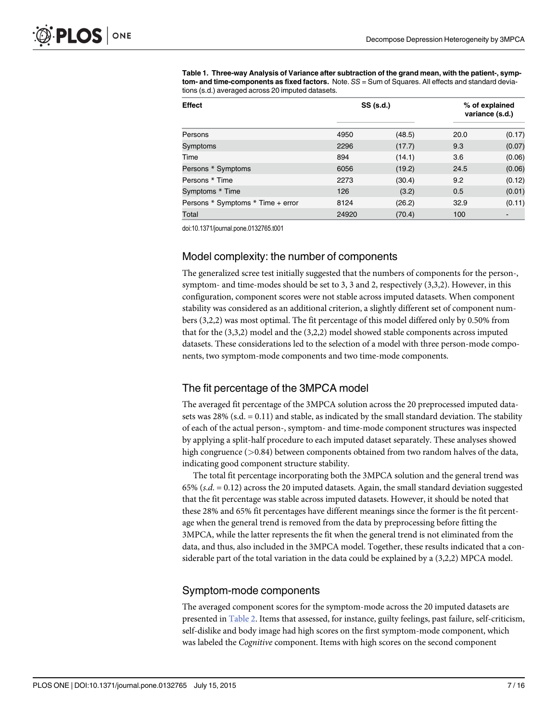<span id="page-7-0"></span>[Table 1.](#page-6-0) Three-way Analysis of Variance after subtraction of the grand mean, with the patient-, symptom- and time-components as fixed factors. Note. SS = Sum of Squares. All effects and standard deviations (s.d.) averaged across 20 imputed datasets.

| <b>Effect</b>                     |       | SS (s.d.) | % of explained<br>variance (s.d.) |        |
|-----------------------------------|-------|-----------|-----------------------------------|--------|
| Persons                           | 4950  | (48.5)    | 20.0                              | (0.17) |
| Symptoms                          | 2296  | (17.7)    | 9.3                               | (0.07) |
| Time                              | 894   | (14.1)    | 3.6                               | (0.06) |
| Persons * Symptoms                | 6056  | (19.2)    | 24.5                              | (0.06) |
| Persons * Time                    | 2273  | (30.4)    | 9.2                               | (0.12) |
| Symptoms * Time                   | 126   | (3.2)     | 0.5                               | (0.01) |
| Persons * Symptoms * Time + error | 8124  | (26.2)    | 32.9                              | (0.11) |
| Total                             | 24920 | (70.4)    | 100                               |        |

doi:10.1371/journal.pone.0132765.t001

## Model complexity: the number of components

The generalized scree test initially suggested that the numbers of components for the person-, symptom- and time-modes should be set to 3, 3 and 2, respectively (3,3,2). However, in this configuration, component scores were not stable across imputed datasets. When component stability was considered as an additional criterion, a slightly different set of component numbers (3,2,2) was most optimal. The fit percentage of this model differed only by 0.50% from that for the (3,3,2) model and the (3,2,2) model showed stable components across imputed datasets. These considerations led to the selection of a model with three person-mode components, two symptom-mode components and two time-mode components.

## The fit percentage of the 3MPCA model

The averaged fit percentage of the 3MPCA solution across the 20 preprocessed imputed datasets was 28% (s.d. = 0.11) and stable, as indicated by the small standard deviation. The stability of each of the actual person-, symptom- and time-mode component structures was inspected by applying a split-half procedure to each imputed dataset separately. These analyses showed high congruence ( $>0.84$ ) between components obtained from two random halves of the data, indicating good component structure stability.

The total fit percentage incorporating both the 3MPCA solution and the general trend was 65% (s.d.  $= 0.12$ ) across the 20 imputed datasets. Again, the small standard deviation suggested that the fit percentage was stable across imputed datasets. However, it should be noted that these 28% and 65% fit percentages have different meanings since the former is the fit percentage when the general trend is removed from the data by preprocessing before fitting the 3MPCA, while the latter represents the fit when the general trend is not eliminated from the data, and thus, also included in the 3MPCA model. Together, these results indicated that a considerable part of the total variation in the data could be explained by a (3,2,2) MPCA model.

## Symptom-mode components

The averaged component scores for the symptom-mode across the 20 imputed datasets are presented in [Table 2](#page-8-0). Items that assessed, for instance, guilty feelings, past failure, self-criticism, self-dislike and body image had high scores on the first symptom-mode component, which was labeled the Cognitive component. Items with high scores on the second component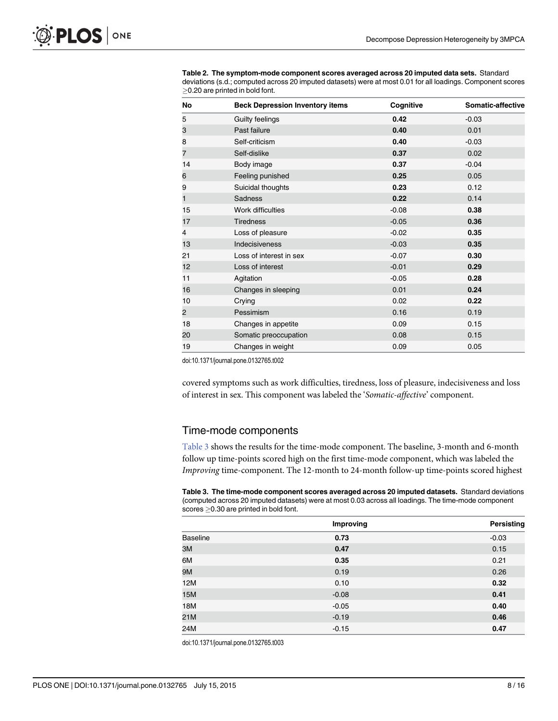| No | <b>Beck Depression Inventory items</b> | Cognitive | <b>Somatic-affective</b> |
|----|----------------------------------------|-----------|--------------------------|
| 5  | <b>Guilty feelings</b>                 | 0.42      | $-0.03$                  |
| 3  | Past failure                           | 0.40      | 0.01                     |
| 8  | Self-criticism                         | 0.40      | $-0.03$                  |
| 7  | Self-dislike                           | 0.37      | 0.02                     |
| 14 | Body image                             | 0.37      | $-0.04$                  |
| 6  | Feeling punished                       | 0.25      | 0.05                     |
| 9  | Suicidal thoughts                      | 0.23      | 0.12                     |
| 1  | <b>Sadness</b>                         | 0.22      | 0.14                     |
| 15 | Work difficulties                      | $-0.08$   | 0.38                     |
| 17 | <b>Tiredness</b>                       | $-0.05$   | 0.36                     |
| 4  | Loss of pleasure                       | $-0.02$   | 0.35                     |
| 13 | Indecisiveness                         | $-0.03$   | 0.35                     |
| 21 | Loss of interest in sex                | $-0.07$   | 0.30                     |
| 12 | Loss of interest                       | $-0.01$   | 0.29                     |
| 11 | Agitation                              | $-0.05$   | 0.28                     |
| 16 | Changes in sleeping                    | 0.01      | 0.24                     |
| 10 | Crying                                 | 0.02      | 0.22                     |
| 2  | Pessimism                              | 0.16      | 0.19                     |
| 18 | Changes in appetite                    | 0.09      | 0.15                     |
| 20 | Somatic preoccupation                  | 0.08      | 0.15                     |
| 19 | Changes in weight                      | 0.09      | 0.05                     |

<span id="page-8-0"></span>[Table 2.](#page-7-0) The symptom-mode component scores averaged across 20 imputed data sets. Standard deviations (s.d.; computed across 20 imputed datasets) were at most 0.01 for all loadings. Component scores  $\geq$ 0.20 are printed in bold font.

doi:10.1371/journal.pone.0132765.t002

covered symptoms such as work difficulties, tiredness, loss of pleasure, indecisiveness and loss of interest in sex. This component was labeled the 'Somatic-affective' component.

## Time-mode components

Table 3 shows the results for the time-mode component. The baseline, 3-month and 6-month follow up time-points scored high on the first time-mode component, which was labeled the Improving time-component. The 12-month to 24-month follow-up time-points scored highest

Table 3. The time-mode component scores averaged across 20 imputed datasets. Standard deviations (computed across 20 imputed datasets) were at most 0.03 across all loadings. The time-mode component  $scores \geq 0.30$  are printed in bold font.

|                 | Improving | Persisting |
|-----------------|-----------|------------|
| <b>Baseline</b> | 0.73      | $-0.03$    |
| 3M              | 0.47      | 0.15       |
| 6M              | 0.35      | 0.21       |
| 9M              | 0.19      | 0.26       |
| 12M             | 0.10      | 0.32       |
| 15M             | $-0.08$   | 0.41       |
| 18M             | $-0.05$   | 0.40       |
| 21M             | $-0.19$   | 0.46       |
| 24M             | $-0.15$   | 0.47       |

doi:10.1371/journal.pone.0132765.t003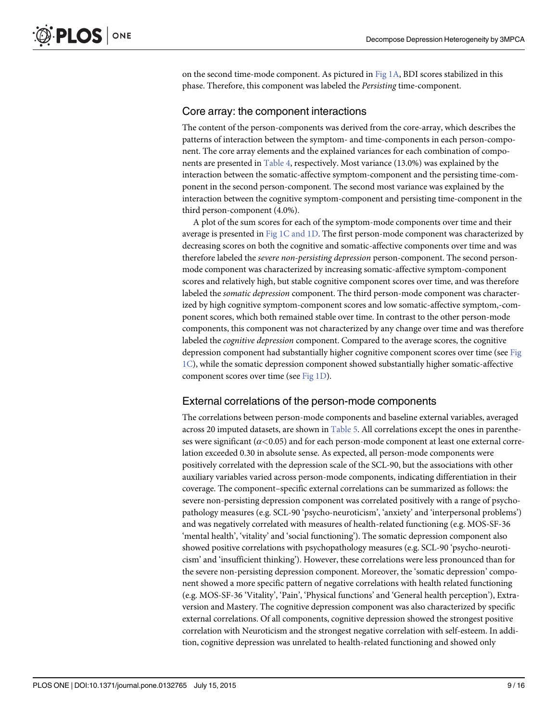<span id="page-9-0"></span>on the second time-mode component. As pictured in [Fig 1A](#page-6-0), BDI scores stabilized in this phase. Therefore, this component was labeled the Persisting time-component.

## Core array: the component interactions

The content of the person-components was derived from the core-array, which describes the patterns of interaction between the symptom- and time-components in each person-component. The core array elements and the explained variances for each combination of components are presented in [Table 4,](#page-10-0) respectively. Most variance (13.0%) was explained by the interaction between the somatic-affective symptom-component and the persisting time-component in the second person-component. The second most variance was explained by the interaction between the cognitive symptom-component and persisting time-component in the third person-component (4.0%).

A plot of the sum scores for each of the symptom-mode components over time and their average is presented in [Fig 1C and 1D](#page-6-0). The first person-mode component was characterized by decreasing scores on both the cognitive and somatic-affective components over time and was therefore labeled the severe non-persisting depression person-component. The second personmode component was characterized by increasing somatic-affective symptom-component scores and relatively high, but stable cognitive component scores over time, and was therefore labeled the *somatic depression* component. The third person-mode component was characterized by high cognitive symptom-component scores and low somatic-affective symptom,-component scores, which both remained stable over time. In contrast to the other person-mode components, this component was not characterized by any change over time and was therefore labeled the cognitive depression component. Compared to the average scores, the cognitive depression component had substantially higher cognitive component scores over time (see [Fig](#page-6-0)  $1\text{C}$ ), while the somatic depression component showed substantially higher somatic-affective component scores over time (see [Fig 1D](#page-6-0)).

## External correlations of the person-mode components

The correlations between person-mode components and baseline external variables, averaged across 20 imputed datasets, are shown in [Table 5](#page-10-0). All correlations except the ones in parentheses were significant  $(\alpha < 0.05)$  and for each person-mode component at least one external correlation exceeded 0.30 in absolute sense. As expected, all person-mode components were positively correlated with the depression scale of the SCL-90, but the associations with other auxiliary variables varied across person-mode components, indicating differentiation in their coverage. The component–specific external correlations can be summarized as follows: the severe non-persisting depression component was correlated positively with a range of psychopathology measures (e.g. SCL-90 'psycho-neuroticism', 'anxiety' and 'interpersonal problems') and was negatively correlated with measures of health-related functioning (e.g. MOS-SF-36 'mental health', 'vitality' and 'social functioning'). The somatic depression component also showed positive correlations with psychopathology measures (e.g. SCL-90 'psycho-neuroticism' and 'insufficient thinking'). However, these correlations were less pronounced than for the severe non-persisting depression component. Moreover, the 'somatic depression' component showed a more specific pattern of negative correlations with health related functioning (e.g. MOS-SF-36 'Vitality', 'Pain', 'Physical functions' and 'General health perception'), Extraversion and Mastery. The cognitive depression component was also characterized by specific external correlations. Of all components, cognitive depression showed the strongest positive correlation with Neuroticism and the strongest negative correlation with self-esteem. In addition, cognitive depression was unrelated to health-related functioning and showed only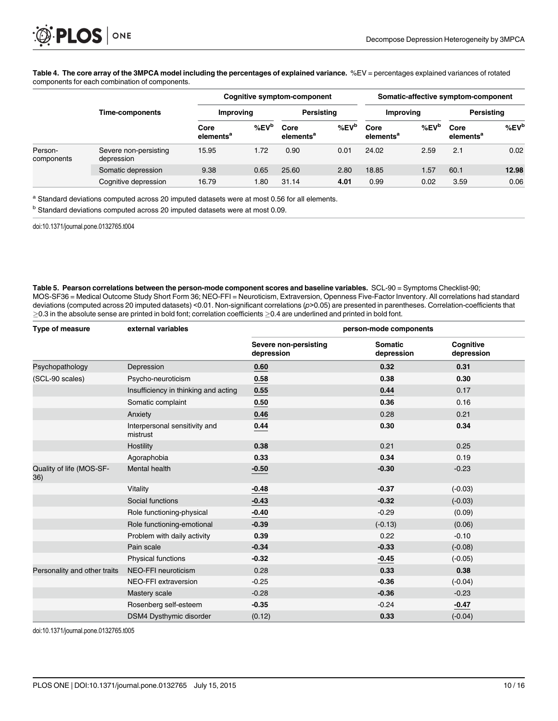#### <span id="page-10-0"></span>[Table 4.](#page-9-0) The core array of the 3MPCA model including the percentages of explained variance. %EV = percentages explained variances of rotated components for each combination of components.

|                       | Time-components                     | Somatic-affective symptom-component<br><b>Cognitive symptom-component</b> |                      |                               |                      |                               |                      |                               |            |
|-----------------------|-------------------------------------|---------------------------------------------------------------------------|----------------------|-------------------------------|----------------------|-------------------------------|----------------------|-------------------------------|------------|
|                       |                                     | Improving                                                                 |                      | Persistina                    |                      | Improving                     |                      | Persisting                    |            |
|                       |                                     | Core<br>elements <sup>a</sup>                                             | % $E$ V <sup>b</sup> | Core<br>elements <sup>a</sup> | % $E$ V <sup>b</sup> | Core<br>elements <sup>a</sup> | % $E$ V <sup>b</sup> | Core<br>elements <sup>a</sup> | $%$ EV $b$ |
| Person-<br>components | Severe non-persisting<br>depression | 15.95                                                                     | 1.72                 | 0.90                          | 0.01                 | 24.02                         | 2.59                 | 2.1                           | 0.02       |
|                       | Somatic depression                  | 9.38                                                                      | 0.65                 | 25.60                         | 2.80                 | 18.85                         | 1.57                 | 60.1                          | 12.98      |
|                       | Cognitive depression                | 16.79                                                                     | 1.80                 | 31.14                         | 4.01                 | 0.99                          | 0.02                 | 3.59                          | 0.06       |

a Standard deviations computed across 20 imputed datasets were at most 0.56 for all elements.

**b** Standard deviations computed across 20 imputed datasets were at most 0.09.

doi:10.1371/journal.pone.0132765.t004

[Table 5.](#page-9-0) Pearson correlations between the person-mode component scores and baseline variables. SCL-90 = Symptoms Checklist-90; MOS-SF36 = Medical Outcome Study Short Form 36; NEO-FFI = Neuroticism, Extraversion, Openness Five-Factor Inventory. All correlations had standard deviations (computed across 20 imputed datasets) <0.01. Non-significant correlations (p>0.05) are presented in parentheses. Correlation-coefficients that  $\geq$ 0.3 in the absolute sense are printed in bold font; correlation coefficients  $\geq$ 0.4 are underlined and printed in bold font.

| <b>Type of measure</b>          | external variables                        | person-mode components              |                              |                         |  |
|---------------------------------|-------------------------------------------|-------------------------------------|------------------------------|-------------------------|--|
|                                 |                                           | Severe non-persisting<br>depression | <b>Somatic</b><br>depression | Cognitive<br>depression |  |
| Psychopathology                 | Depression                                | 0.60                                | 0.32                         | 0.31                    |  |
| (SCL-90 scales)                 | Psycho-neuroticism                        | 0.58                                | 0.38                         | 0.30                    |  |
|                                 | Insufficiency in thinking and acting      | 0.55                                | 0.44                         | 0.17                    |  |
|                                 | Somatic complaint                         | 0.50                                | 0.36                         | 0.16                    |  |
|                                 | Anxiety                                   | 0.46                                | 0.28                         | 0.21                    |  |
|                                 | Interpersonal sensitivity and<br>mistrust | 0.44                                | 0.30                         | 0.34                    |  |
|                                 | Hostility                                 | 0.38                                | 0.21                         | 0.25                    |  |
|                                 | Agoraphobia                               | 0.33                                | 0.34                         | 0.19                    |  |
| Quality of life (MOS-SF-<br>36) | <b>Mental health</b>                      | $-0.50$                             | $-0.30$                      | $-0.23$                 |  |
|                                 | Vitality                                  | $-0.48$                             | $-0.37$                      | $(-0.03)$               |  |
|                                 | Social functions                          | $-0.43$                             | $-0.32$                      | $(-0.03)$               |  |
|                                 | Role functioning-physical                 | $-0.40$                             | $-0.29$                      | (0.09)                  |  |
|                                 | Role functioning-emotional                | $-0.39$                             | $(-0.13)$                    | (0.06)                  |  |
|                                 | Problem with daily activity               | 0.39                                | 0.22                         | $-0.10$                 |  |
|                                 | Pain scale                                | $-0.34$                             | $-0.33$                      | $(-0.08)$               |  |
|                                 | Physical functions                        | $-0.32$                             | $-0.45$                      | $(-0.05)$               |  |
| Personality and other traits    | NEO-FFI neuroticism                       | 0.28                                | 0.33                         | 0.38                    |  |
|                                 | NEO-FFI extraversion                      | $-0.25$                             | $-0.36$                      | $(-0.04)$               |  |
|                                 | Mastery scale                             | $-0.28$                             | $-0.36$                      | $-0.23$                 |  |
|                                 | Rosenberg self-esteem                     | $-0.35$                             | $-0.24$                      | $-0.47$                 |  |
|                                 | <b>DSM4 Dysthymic disorder</b>            | (0.12)                              | 0.33                         | $(-0.04)$               |  |

doi:10.1371/journal.pone.0132765.t005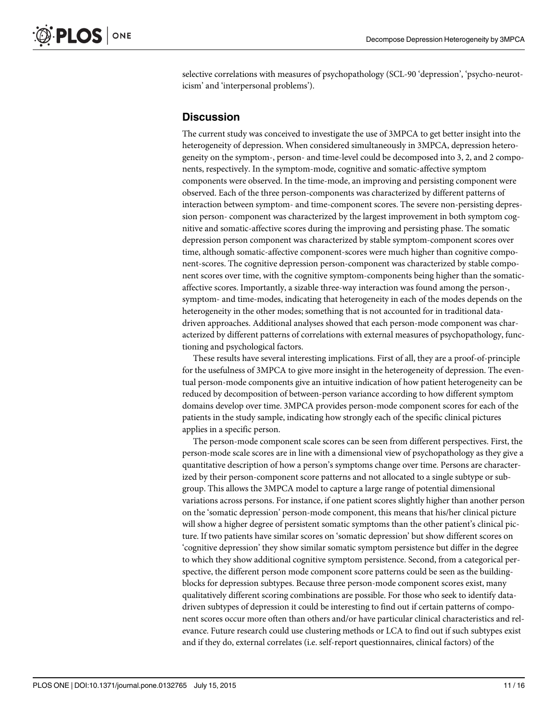selective correlations with measures of psychopathology (SCL-90 'depression', 'psycho-neuroticism' and 'interpersonal problems').

## **Discussion**

The current study was conceived to investigate the use of 3MPCA to get better insight into the heterogeneity of depression. When considered simultaneously in 3MPCA, depression heterogeneity on the symptom-, person- and time-level could be decomposed into 3, 2, and 2 components, respectively. In the symptom-mode, cognitive and somatic-affective symptom components were observed. In the time-mode, an improving and persisting component were observed. Each of the three person-components was characterized by different patterns of interaction between symptom- and time-component scores. The severe non-persisting depression person- component was characterized by the largest improvement in both symptom cognitive and somatic-affective scores during the improving and persisting phase. The somatic depression person component was characterized by stable symptom-component scores over time, although somatic-affective component-scores were much higher than cognitive component-scores. The cognitive depression person-component was characterized by stable component scores over time, with the cognitive symptom-components being higher than the somaticaffective scores. Importantly, a sizable three-way interaction was found among the person-, symptom- and time-modes, indicating that heterogeneity in each of the modes depends on the heterogeneity in the other modes; something that is not accounted for in traditional datadriven approaches. Additional analyses showed that each person-mode component was characterized by different patterns of correlations with external measures of psychopathology, functioning and psychological factors.

These results have several interesting implications. First of all, they are a proof-of-principle for the usefulness of 3MPCA to give more insight in the heterogeneity of depression. The eventual person-mode components give an intuitive indication of how patient heterogeneity can be reduced by decomposition of between-person variance according to how different symptom domains develop over time. 3MPCA provides person-mode component scores for each of the patients in the study sample, indicating how strongly each of the specific clinical pictures applies in a specific person.

The person-mode component scale scores can be seen from different perspectives. First, the person-mode scale scores are in line with a dimensional view of psychopathology as they give a quantitative description of how a person's symptoms change over time. Persons are characterized by their person-component score patterns and not allocated to a single subtype or subgroup. This allows the 3MPCA model to capture a large range of potential dimensional variations across persons. For instance, if one patient scores slightly higher than another person on the 'somatic depression' person-mode component, this means that his/her clinical picture will show a higher degree of persistent somatic symptoms than the other patient's clinical picture. If two patients have similar scores on 'somatic depression' but show different scores on 'cognitive depression' they show similar somatic symptom persistence but differ in the degree to which they show additional cognitive symptom persistence. Second, from a categorical perspective, the different person mode component score patterns could be seen as the buildingblocks for depression subtypes. Because three person-mode component scores exist, many qualitatively different scoring combinations are possible. For those who seek to identify datadriven subtypes of depression it could be interesting to find out if certain patterns of component scores occur more often than others and/or have particular clinical characteristics and relevance. Future research could use clustering methods or LCA to find out if such subtypes exist and if they do, external correlates (i.e. self-report questionnaires, clinical factors) of the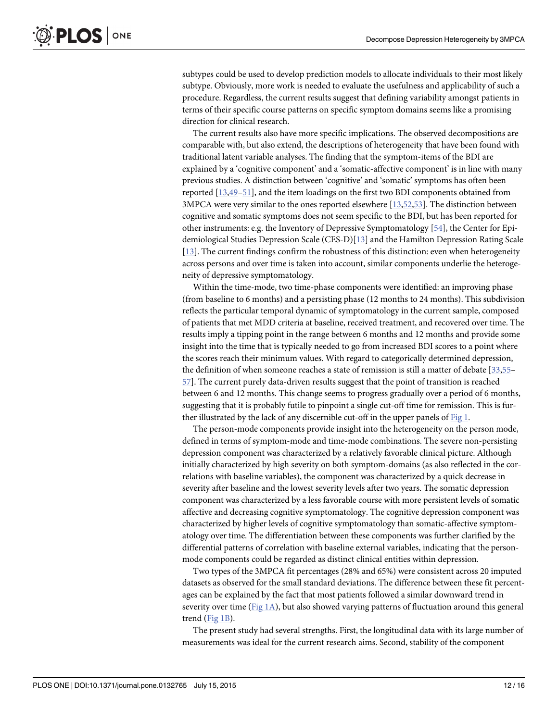<span id="page-12-0"></span>subtypes could be used to develop prediction models to allocate individuals to their most likely subtype. Obviously, more work is needed to evaluate the usefulness and applicability of such a procedure. Regardless, the current results suggest that defining variability amongst patients in terms of their specific course patterns on specific symptom domains seems like a promising direction for clinical research.

The current results also have more specific implications. The observed decompositions are comparable with, but also extend, the descriptions of heterogeneity that have been found with traditional latent variable analyses. The finding that the symptom-items of the BDI are explained by a 'cognitive component' and a 'somatic-affective component' is in line with many previous studies. A distinction between 'cognitive' and 'somatic' symptoms has often been reported [[13](#page-14-0)[,49](#page-15-0)–[51\]](#page-15-0), and the item loadings on the first two BDI components obtained from 3MPCA were very similar to the ones reported elsewhere [[13](#page-14-0)[,52,53\]](#page-15-0). The distinction between cognitive and somatic symptoms does not seem specific to the BDI, but has been reported for other instruments: e.g. the Inventory of Depressive Symptomatology [\[54\]](#page-15-0), the Center for Epidemiological Studies Depression Scale (CES-D)[\[13\]](#page-14-0) and the Hamilton Depression Rating Scale [\[13](#page-14-0)]. The current findings confirm the robustness of this distinction: even when heterogeneity across persons and over time is taken into account, similar components underlie the heterogeneity of depressive symptomatology.

Within the time-mode, two time-phase components were identified: an improving phase (from baseline to 6 months) and a persisting phase (12 months to 24 months). This subdivision reflects the particular temporal dynamic of symptomatology in the current sample, composed of patients that met MDD criteria at baseline, received treatment, and recovered over time. The results imply a tipping point in the range between 6 months and 12 months and provide some insight into the time that is typically needed to go from increased BDI scores to a point where the scores reach their minimum values. With regard to categorically determined depression, the definition of when someone reaches a state of remission is still a matter of debate [\[33](#page-15-0)[,55](#page-16-0)– [57\]](#page-16-0). The current purely data-driven results suggest that the point of transition is reached between 6 and 12 months. This change seems to progress gradually over a period of 6 months, suggesting that it is probably futile to pinpoint a single cut-off time for remission. This is further illustrated by the lack of any discernible cut-off in the upper panels of [Fig 1.](#page-6-0)

The person-mode components provide insight into the heterogeneity on the person mode, defined in terms of symptom-mode and time-mode combinations. The severe non-persisting depression component was characterized by a relatively favorable clinical picture. Although initially characterized by high severity on both symptom-domains (as also reflected in the correlations with baseline variables), the component was characterized by a quick decrease in severity after baseline and the lowest severity levels after two years. The somatic depression component was characterized by a less favorable course with more persistent levels of somatic affective and decreasing cognitive symptomatology. The cognitive depression component was characterized by higher levels of cognitive symptomatology than somatic-affective symptomatology over time. The differentiation between these components was further clarified by the differential patterns of correlation with baseline external variables, indicating that the personmode components could be regarded as distinct clinical entities within depression.

Two types of the 3MPCA fit percentages (28% and 65%) were consistent across 20 imputed datasets as observed for the small standard deviations. The difference between these fit percentages can be explained by the fact that most patients followed a similar downward trend in severity over time ([Fig 1A](#page-6-0)), but also showed varying patterns of fluctuation around this general trend [\(Fig 1B](#page-6-0)).

The present study had several strengths. First, the longitudinal data with its large number of measurements was ideal for the current research aims. Second, stability of the component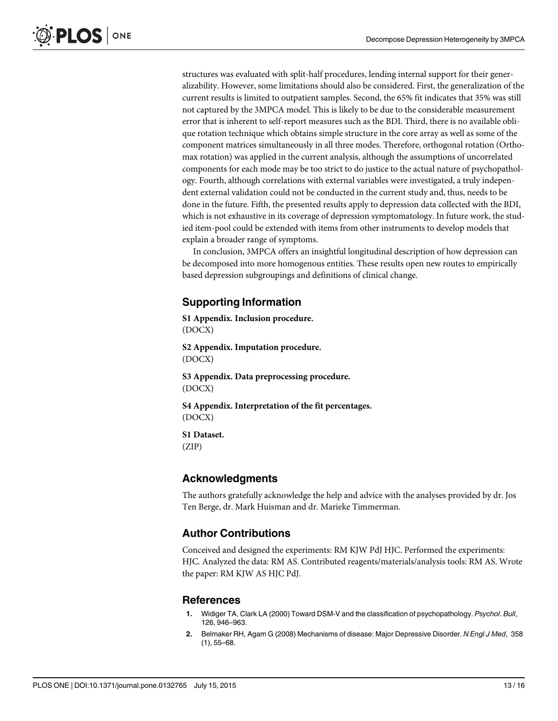<span id="page-13-0"></span>structures was evaluated with split-half procedures, lending internal support for their generalizability. However, some limitations should also be considered. First, the generalization of the current results is limited to outpatient samples. Second, the 65% fit indicates that 35% was still not captured by the 3MPCA model. This is likely to be due to the considerable measurement error that is inherent to self-report measures such as the BDI. Third, there is no available oblique rotation technique which obtains simple structure in the core array as well as some of the component matrices simultaneously in all three modes. Therefore, orthogonal rotation (Orthomax rotation) was applied in the current analysis, although the assumptions of uncorrelated components for each mode may be too strict to do justice to the actual nature of psychopathology. Fourth, although correlations with external variables were investigated, a truly independent external validation could not be conducted in the current study and, thus, needs to be done in the future. Fifth, the presented results apply to depression data collected with the BDI, which is not exhaustive in its coverage of depression symptomatology. In future work, the studied item-pool could be extended with items from other instruments to develop models that explain a broader range of symptoms.

In conclusion, 3MPCA offers an insightful longitudinal description of how depression can be decomposed into more homogenous entities. These results open new routes to empirically based depression subgroupings and definitions of clinical change.

## Supporting Information

[S1 Appendix.](http://www.plosone.org/article/fetchSingleRepresentation.action?uri=info:doi/10.1371/journal.pone.0132765.s001) Inclusion procedure. (DOCX)

[S2 Appendix.](http://www.plosone.org/article/fetchSingleRepresentation.action?uri=info:doi/10.1371/journal.pone.0132765.s002) Imputation procedure. (DOCX)

[S3 Appendix.](http://www.plosone.org/article/fetchSingleRepresentation.action?uri=info:doi/10.1371/journal.pone.0132765.s003) Data preprocessing procedure. (DOCX)

[S4 Appendix.](http://www.plosone.org/article/fetchSingleRepresentation.action?uri=info:doi/10.1371/journal.pone.0132765.s004) Interpretation of the fit percentages. (DOCX)

[S1 Dataset.](http://www.plosone.org/article/fetchSingleRepresentation.action?uri=info:doi/10.1371/journal.pone.0132765.s005) (ZIP)

## Acknowledgments

The authors gratefully acknowledge the help and advice with the analyses provided by dr. Jos Ten Berge, dr. Mark Huisman and dr. Marieke Timmerman.

## Author Contributions

Conceived and designed the experiments: RM KJW PdJ HJC. Performed the experiments: HJC. Analyzed the data: RM AS. Contributed reagents/materials/analysis tools: RM AS. Wrote the paper: RM KJW AS HJC PdJ.

## References

- [1.](#page-2-0) Widiger TA, Clark LA (2000) Toward DSM-V and the classification of psychopathology. Psychol. Bull, 126, 946–963.
- [2.](#page-2-0) Belmaker RH, Agam G (2008) Mechanisms of disease: Major Depressive Disorder. N Engl J Med, 358  $(1), 55-68.$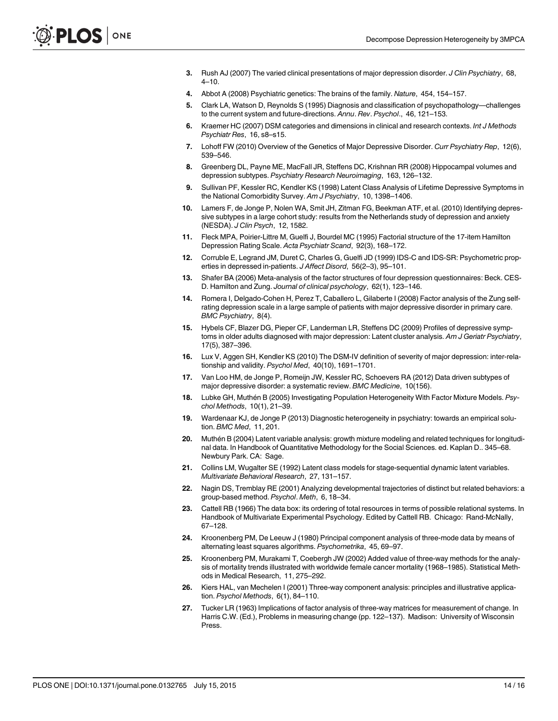- <span id="page-14-0"></span>[3.](#page-2-0) Rush AJ (2007) The varied clinical presentations of major depression disorder. J Clin Psychiatry, 68,  $4 - 10$ .
- [4.](#page-2-0) Abbot A (2008) Psychiatric genetics: The brains of the family. Nature, 454, 154–157.
- 5. Clark LA, Watson D, Reynolds S (1995) Diagnosis and classification of psychopathology—challenges to the current system and future-directions. Annu. Rev. Psychol., 46, 121-153.
- 6. Kraemer HC (2007) DSM categories and dimensions in clinical and research contexts. Int J Methods Psychiatr Res, 16, s8–s15.
- [7.](#page-2-0) Lohoff FW (2010) Overview of the Genetics of Major Depressive Disorder. Curr Psychiatry Rep, 12(6), 539–546.
- [8.](#page-2-0) Greenberg DL, Payne ME, MacFall JR, Steffens DC, Krishnan RR (2008) Hippocampal volumes and depression subtypes. Psychiatry Research Neuroimaging, 163, 126–132.
- [9.](#page-2-0) Sullivan PF, Kessler RC, Kendler KS (1998) Latent Class Analysis of Lifetime Depressive Symptoms in the National Comorbidity Survey. Am J Psychiatry, 10, 1398-1406.
- [10.](#page-2-0) Lamers F, de Jonge P, Nolen WA, Smit JH, Zitman FG, Beekman ATF, et al. (2010) Identifying depressive subtypes in a large cohort study: results from the Netherlands study of depression and anxiety (NESDA). J Clin Psych, 12, 1582.
- [11.](#page-2-0) Fleck MPA, Poirier-Littre M, Guelfi J, Bourdel MC (1995) Factorial structure of the 17-item Hamilton Depression Rating Scale. Acta Psychiatr Scand, 92(3), 168–172.
- 12. Corruble E, Legrand JM, Duret C, Charles G, Guelfi JD (1999) IDS-C and IDS-SR: Psychometric properties in depressed in-patients. J Affect Disord, 56(2–3), 95–101.
- [13.](#page-2-0) Shafer BA (2006) Meta-analysis of the factor structures of four depression questionnaires: Beck. CES-D. Hamilton and Zung. Journal of clinical psychology, 62(1), 123–146.
- 14. Romera I, Delgado-Cohen H, Perez T, Caballero L, Gilaberte I (2008) Factor analysis of the Zung selfrating depression scale in a large sample of patients with major depressive disorder in primary care. BMC Psychiatry, 8(4).
- 15. Hybels CF, Blazer DG, Pieper CF, Landerman LR, Steffens DC (2009) Profiles of depressive symptoms in older adults diagnosed with major depression: Latent cluster analysis. Am J Geriatr Psychiatry, 17(5), 387–396.
- 16. Lux V, Aggen SH, Kendler KS (2010) The DSM-IV definition of severity of major depression: inter-relationship and validity. Psychol Med, 40(10), 1691–1701.
- [17.](#page-2-0) Van Loo HM, de Jonge P, Romeijn JW, Kessler RC, Schoevers RA (2012) Data driven subtypes of major depressive disorder: a systematic review. BMC Medicine, 10(156).
- [18.](#page-3-0) Lubke GH, Muthén B (2005) Investigating Population Heterogeneity With Factor Mixture Models. Psychol Methods, 10(1), 21–39.
- [19.](#page-3-0) Wardenaar KJ, de Jonge P (2013) Diagnostic heterogeneity in psychiatry: towards an empirical solution. BMC Med, 11, 201.
- [20.](#page-3-0) Muthén B (2004) Latent variable analysis: growth mixture modeling and related techniques for longitudinal data. In Handbook of Quantitative Methodology for the Social Sciences. ed. Kaplan D.. 345–68. Newbury Park. CA: Sage.
- [21.](#page-3-0) Collins LM, Wugalter SE (1992) Latent class models for stage-sequential dynamic latent variables. Multivariate Behavioral Research, 27, 131–157.
- [22.](#page-3-0) Nagin DS, Tremblay RE (2001) Analyzing developmental trajectories of distinct but related behaviors: a group-based method. Psychol. Meth, 6, 18–34.
- [23.](#page-3-0) Cattell RB (1966) The data box: its ordering of total resources in terms of possible relational systems. In Handbook of Multivariate Experimental Psychology. Edited by Cattell RB. Chicago: Rand-McNally, 67–128.
- [24.](#page-3-0) Kroonenberg PM, De Leeuw J (1980) Principal component analysis of three-mode data by means of alternating least squares algorithms. Psychometrika, 45, 69–97.
- [25.](#page-3-0) Kroonenberg PM, Murakami T, Coebergh JW (2002) Added value of three-way methods for the analysis of mortality trends illustrated with worldwide female cancer mortality (1968–1985). Statistical Methods in Medical Research, 11, 275–292.
- [26.](#page-3-0) Kiers HAL, van Mechelen I (2001) Three-way component analysis: principles and illustrative application. Psychol Methods, 6(1), 84–110.
- [27.](#page-3-0) Tucker LR (1963) Implications of factor analysis of three-way matrices for measurement of change. In Harris C.W. (Ed.), Problems in measuring change (pp. 122–137). Madison: University of Wisconsin Press.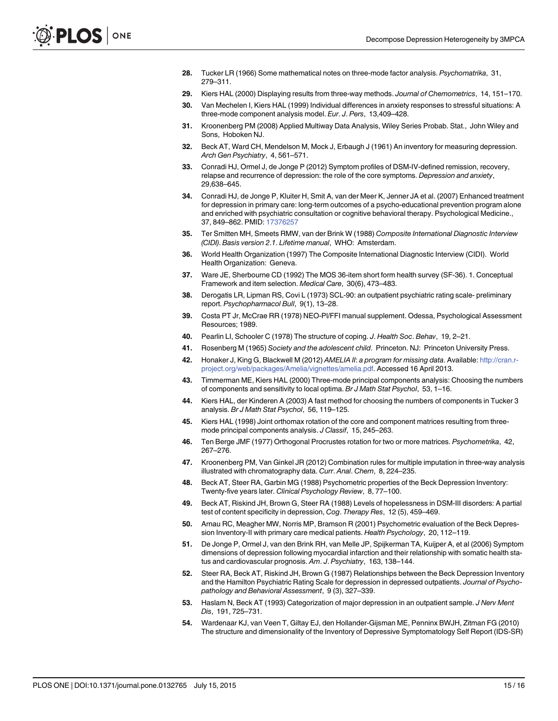- <span id="page-15-0"></span>[28.](#page-3-0) Tucker LR (1966) Some mathematical notes on three-mode factor analysis. Psychomatrika, 31, 279–311.
- [29.](#page-3-0) Kiers HAL (2000) Displaying results from three-way methods. Journal of Chemometrics, 14, 151–170.
- [30.](#page-3-0) Van Mechelen I, Kiers HAL (1999) Individual differences in anxiety responses to stressful situations: A three-mode component analysis model. Eur. J. Pers, 13,409–428.
- [31.](#page-3-0) Kroonenberg PM (2008) Applied Multiway Data Analysis, Wiley Series Probab. Stat., John Wiley and Sons, Hoboken NJ.
- [32.](#page-3-0) Beck AT, Ward CH, Mendelson M, Mock J, Erbaugh J (1961) An inventory for measuring depression. Arch Gen Psychiatry, 4, 561–571.
- [33.](#page-3-0) Conradi HJ, Ormel J, de Jonge P (2012) Symptom profiles of DSM-IV-defined remission, recovery, relapse and recurrence of depression: the role of the core symptoms. Depression and anxiety, 29,638–645.
- [34.](#page-3-0) Conradi HJ, de Jonge P, Kluiter H, Smit A, van der Meer K, Jenner JA et al. (2007) Enhanced treatment for depression in primary care: long-term outcomes of a psycho-educational prevention program alone and enriched with psychiatric consultation or cognitive behavioral therapy. Psychological Medicine., 37, 849–862. PMID: [17376257](http://www.ncbi.nlm.nih.gov/pubmed/17376257)
- [35.](#page-4-0) Ter Smitten MH, Smeets RMW, van der Brink W (1988) Composite International Diagnostic Interview (CIDI). Basis version 2.1. Lifetime manual, WHO: Amsterdam.
- [36.](#page-4-0) World Health Organization (1997) The Composite International Diagnostic Interview (CIDI). World Health Organization: Geneva.
- [37.](#page-4-0) Ware JE, Sherbourne CD (1992) The MOS 36-item short form health survey (SF-36). 1. Conceptual Framework and item selection. Medical Care, 30(6), 473–483.
- [38.](#page-4-0) Derogatis LR, Lipman RS, Covi L (1973) SCL-90: an outpatient psychiatric rating scale- preliminary report. Psychopharmacol Bull, 9(1), 13–28.
- [39.](#page-4-0) Costa PT Jr, McCrae RR (1978) NEO-Pl/FFI manual supplement. Odessa, Psychological Assessment Resources; 1989.
- [40.](#page-4-0) Pearlin LI, Schooler C (1978) The structure of coping. J. Health Soc. Behav, 19, 2–21.
- [41.](#page-4-0) Rosenberg M (1965) Society and the adolescent child. Princeton. NJ: Princeton University Press.
- [42.](#page-4-0) Honaker J, King G, Blackwell M (2012) AMELIA II: a program for missing data. Available: [http://cran.r](http://cran.r-project.org/web/packages/Amelia/vignettes/amelia.pdf)[project.org/web/packages/Amelia/vignettes/amelia.pdf.](http://cran.r-project.org/web/packages/Amelia/vignettes/amelia.pdf) Accessed 16 April 2013.
- [43.](#page-5-0) Timmerman ME, Kiers HAL (2000) Three-mode principal components analysis: Choosing the numbers of components and sensitivity to local optima. Br J Math Stat Psychol, 53, 1–16.
- [44.](#page-5-0) Kiers HAL, der Kinderen A (2003) A fast method for choosing the numbers of components in Tucker 3 analysis. Br J Math Stat Psychol, 56, 119–125.
- [45.](#page-5-0) Kiers HAL (1998) Joint orthomax rotation of the core and component matrices resulting from threemode principal components analysis. J Classif, 15, 245–263.
- [46.](#page-5-0) Ten Berge JMF (1977) Orthogonal Procrustes rotation for two or more matrices. Psychometrika, 42, 267–276.
- [47.](#page-5-0) Kroonenberg PM, Van Ginkel JR (2012) Combination rules for multiple imputation in three-way analysis illustrated with chromatography data. Curr. Anal. Chem, 8, 224-235.
- [48.](#page-5-0) Beck AT, Steer RA, Garbin MG (1988) Psychometric properties of the Beck Depression Inventory: Twenty-five years later. Clinical Psychology Review, 8, 77–100.
- [49.](#page-12-0) Beck AT, Riskind JH, Brown G, Steer RA (1988) Levels of hopelessness in DSM-III disorders: A partial test of content specificity in depression, Cog. Therapy Res, 12 (5), 459–469.
- 50. Arnau RC, Meagher MW, Norris MP, Bramson R (2001) Psychometric evaluation of the Beck Depression Inventory-II with primary care medical patients. Health Psychology, 20, 112–119.
- [51.](#page-12-0) De Jonge P, Ormel J, van den Brink RH, van Melle JP, Spijkerman TA, Kuijper A, et al (2006) Symptom dimensions of depression following myocardial infarction and their relationship with somatic health status and cardiovascular prognosis. Am. J. Psychiatry, 163, 138–144.
- [52.](#page-12-0) Steer RA, Beck AT, Riskind JH, Brown G (1987) Relationships between the Beck Depression Inventory and the Hamilton Psychiatric Rating Scale for depression in depressed outpatients. Journal of Psychopathology and Behavioral Assessment, 9 (3), 327–339.
- [53.](#page-12-0) Haslam N, Beck AT (1993) Categorization of major depression in an outpatient sample. J Nerv Ment Dis, 191, 725–731.
- [54.](#page-12-0) Wardenaar KJ, van Veen T, Giltay EJ, den Hollander-Gijsman ME, Penninx BWJH, Zitman FG (2010) The structure and dimensionality of the Inventory of Depressive Symptomatology Self Report (IDS-SR)